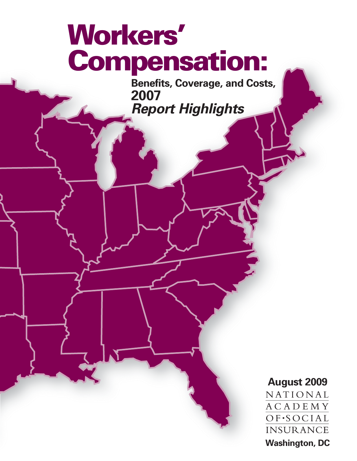# **Workers' Compensation:**

**Benefits, Coverage, and Costs, 2007 Report Highlights**

# **August 2009**

NATIONAL **ACADEMY** OF.SOCIAL INSURANCE **Washington, DC**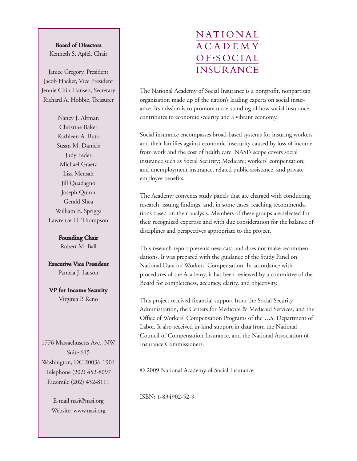**Board of Directors** Kenneth S. Apfel, Chair

Janice Gregory, President Jacob Hacker, Vice President Jennie Chin Hansen, Secretary Richard A. Hobbie, Treasurer

Nancy J. Altman Christine Baker Kathleen A. Buto Susan M. Daniels Judy Feder Michael Graetz Lisa Mensah Jill Quadagno Joseph Quinn Gerald Shea William E. Spriggs Lawrence H. Thompson

> **Founding Chair** Robert M. Ball

**Executive Vice President** Pamela J. Larson

**VP for Income Security** Virginia P. Reno

1776 Massachusetts Ave., NW Suite 615 Washington, DC 20036-1904 Telephone (202) 452-8097 Facsimile (202) 452-8111

> E-mail nasi@nasi.org Website: www.nasi.org



The National Academy of Social Insurance is a nonprofit, nonpartisan organization made up of the nation's leading experts on social insurance. Its mission is to promote understanding of how social insurance contributes to economic security and a vibrant economy.

Social insurance encompasses broad-based systems for insuring workers and their families against economic insecurity caused by loss of income from work and the cost of health care. NASI's scope covers social insurance such as Social Security; Medicare; workers' compensation; and unemployment insurance, related public assistance, and private employee benefits.

The Academy convenes study panels that are charged with conducting research, issuing findings, and, in some cases, reaching recommendations based on their analysis. Members of these groups are selected for their recognized expertise and with due consideration for the balance of disciplines and perspectives appropriate to the project.

This research report presents new data and does not make recommendations. It was prepared with the guidance of the Study Panel on National Data on Workers' Compensation. In accordance with procedures of the Academy, it has been reviewed by a committee of the Board for completeness, accuracy, clarity, and objectivity.

This project received financial support from the Social Security Administration, the Centers for Medicare & Medicaid Services, and the Office of Workers' Compensation Programs of the U.S. Department of Labor. It also received in-kind support in data from the National Council of Compensation Insurance, and the National Association of Insurance Commissioners.

© 2009 National Academy of Social Insurance

ISBN: 1-834902-52-9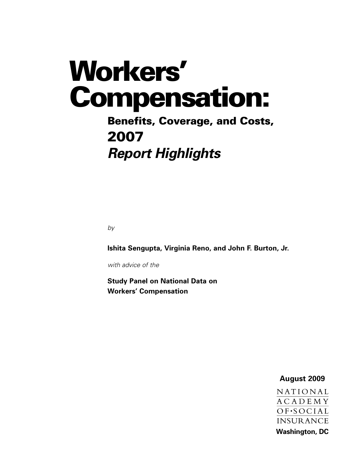# **Workers' Compensation:**

**Benefits, Coverage, and Costs, 2007 Report Highlights**

by

**Ishita Sengupta, Virginia Reno, and John F. Burton, Jr.**

with advice of the

**Study Panel on National Data on Workers' Compensation** 

#### **August 2009**

NATIONAL **ACADEMY** OF.SOCIAL **INSURANCE Washington, DC**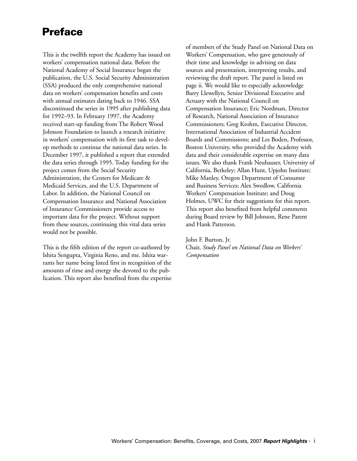# **Preface**

This is the twelfth report the Academy has issued on workers' compensation national data. Before the National Academy of Social Insurance began the publication, the U.S. Social Security Administration (SSA) produced the only comprehensive national data on workers' compensation benefits and costs with annual estimates dating back to 1946. SSA discontinued the series in 1995 after publishing data for 1992–93. In February 1997, the Academy received start-up funding from The Robert Wood Johnson Foundation to launch a research initiative in workers' compensation with its first task to develop methods to continue the national data series. In December 1997, it published a report that extended the data series through 1995. Today funding for the project comes from the Social Security Administration, the Centers for Medicare & Medicaid Services, and the U.S. Department of Labor. In addition, the National Council on Compensation Insurance and National Association of Insurance Commissioners provide access to important data for the project. Without support from these sources, continuing this vital data series would not be possible.

This is the fifth edition of the report co-authored by Ishita Sengupta, Virginia Reno, and me. Ishita warrants her name being listed first in recognition of the amounts of time and energy she devoted to the publication. This report also benefited from the expertise of members of the Study Panel on National Data on Workers' Compensation, who gave generously of their time and knowledge in advising on data sources and presentation, interpreting results, and reviewing the draft report. The panel is listed on page ii. We would like to especially acknowledge Barry Llewellyn, Senior Divisional Executive and Actuary with the National Council on Compensation Insurance; Eric Nordman, Director of Research, National Association of Insurance Commissioners; Greg Krohm, Executive Director, International Association of Industrial Accident Boards and Commissions; and Les Boden, Professor, Boston University, who provided the Academy with data and their considerable expertise on many data issues. We also thank Frank Neuhauser, University of California, Berkeley; Allan Hunt, Upjohn Institute; Mike Manley, Oregon Department of Consumer and Business Services; Alex Swedlow, California Workers' Compensation Institute; and Doug Holmes, UWC for their suggestions for this report. This report also benefited from helpful comments during Board review by Bill Johnson, Rene Parent and Hank Patterson.

#### John F. Burton, Jr.

Chair, *Study Panel on National Data on Workers' Compensation*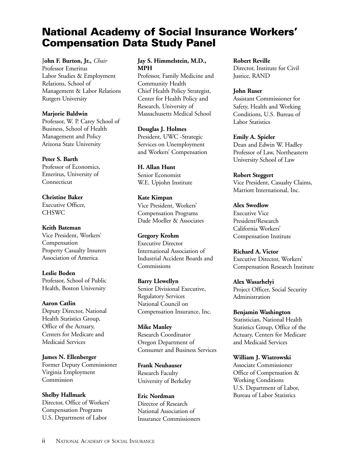# **National Academy of Social Insurance Workers' Compensation Data Study Panel**

J**ohn F. Burton, Jr.,** *Chair* Professor Emeritus Labor Studies & Employment Relations, School of Management & Labor Relations Rutgers University

#### **Marjorie Baldwin**

Professor, W. P. Carey School of Business, School of Health Management and Policy Arizona State University

#### **Peter S. Barth**

Professor of Economics, Emeritus, University of Connecticut

**Christine Baker** Executive Officer, CHSWC

**Keith Bateman** Vice President, Workers' Compensation Property Casualty Insurers Association of America

**Leslie Boden** Professor, School of Public Health, Boston University

**Aaron Catlin** Deputy Director, National Health Statistics Group, Office of the Actuary, Centers for Medicare and

Medicaid Services

**James N. Ellenberger** Former Deputy Commissioner Virginia Employment Commission

**Shelby Hallmark** Director, Office of Workers' Compensation Programs U.S. Department of Labor

#### **Jay S. Himmelstein, M.D., MPH**

Professor, Family Medicine and Community Health Chief Health Policy Strategist, Center for Health Policy and Research, University of Massachusetts Medical School

**Douglas J. Holmes** President, UWC -Strategic Services on Unemployment and Workers' Compensation

**H. Allan Hunt** Senior Economist W.E. Upjohn Institute

**Kate Kimpan** Vice President, Workers' Compensation Programs Dade Moeller & Associates

**Gregory Krohm** Executive Director International Association of Industrial Accident Boards and **Commissions** 

**Barry Llewellyn** Senior Divisional Executive, Regulatory Services National Council on Compensation Insurance, Inc.

**Mike Manley** Research Coordinator Oregon Department of Consumer and Business Services

**Frank Neuhauser** Research Faculty University of Berkeley

**Eric Nordman** Director of Research National Association of Insurance Commissioners

#### **Robert Reville**

Director, Institute for Civil Justice, RAND

#### **John Ruser**

Assistant Commissioner for Safety, Health and Working Conditions, U.S. Bureau of Labor Statistics

**Emily A. Spieler** Dean and Edwin W. Hadley Professor of Law, Northeastern University School of Law

### **Robert Steggert**

Vice President, Casualty Claims, Marriott International, Inc.

#### **Alex Swedlow**

Executive Vice President/Research California Workers' Compensation Institute

**Richard A. Victor** Executive Director, Workers' Compensation Research Institute

**Alex Wasarhelyi** Project Officer, Social Security Administration

**Benjamin Washington** Statistician, National Health Statistics Group, Office of the Actuary, Centers for Medicare and Medicaid Services

**William J. Wiatrowski** Associate Commissioner Office of Compensation & Working Conditions U.S. Department of Labor, Bureau of Labor Statistics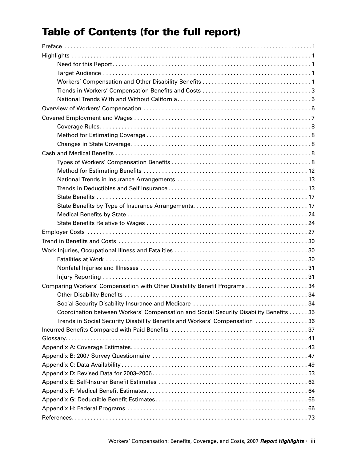# **Table of Contents (for the full report)**

| Comparing Workers' Compensation with Other Disability Benefit Programs 34             |  |
|---------------------------------------------------------------------------------------|--|
|                                                                                       |  |
|                                                                                       |  |
| Coordination between Workers' Compensation and Social Security Disability Benefits 35 |  |
| Trends in Social Security Disability Benefits and Workers' Compensation 36            |  |
|                                                                                       |  |
|                                                                                       |  |
|                                                                                       |  |
|                                                                                       |  |
|                                                                                       |  |
|                                                                                       |  |
|                                                                                       |  |
|                                                                                       |  |
|                                                                                       |  |
|                                                                                       |  |
|                                                                                       |  |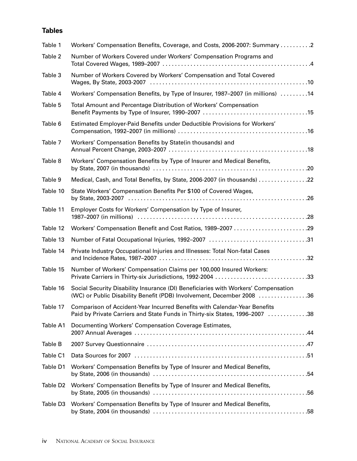### **Tables**

| Table 1              | Workers' Compensation Benefits, Coverage, and Costs, 2006-2007: Summary 2                                                                                   |
|----------------------|-------------------------------------------------------------------------------------------------------------------------------------------------------------|
| Table 2              | Number of Workers Covered under Workers' Compensation Programs and                                                                                          |
| Table 3              | Number of Workers Covered by Workers' Compensation and Total Covered                                                                                        |
| Table 4              | Workers' Compensation Benefits, by Type of Insurer, 1987-2007 (in millions) 14                                                                              |
| Table 5              | Total Amount and Percentage Distribution of Workers' Compensation                                                                                           |
| Table 6              | Estimated Employer-Paid Benefits under Deductible Provisions for Workers'                                                                                   |
| Table 7              | Workers' Compensation Benefits by State(in thousands) and                                                                                                   |
| Table 8              | Workers' Compensation Benefits by Type of Insurer and Medical Benefits,                                                                                     |
| Table 9              | Medical, Cash, and Total Benefits, by State, 2006-2007 (in thousands) 22                                                                                    |
| Table 10             | State Workers' Compensation Benefits Per \$100 of Covered Wages,                                                                                            |
| Table 11             | Employer Costs for Workers' Compensation by Type of Insurer,                                                                                                |
| Table 12             | Workers' Compensation Benefit and Cost Ratios, 1989–2007 29                                                                                                 |
| Table 13             |                                                                                                                                                             |
| Table 14             | Private Industry Occupational Injuries and Illnesses: Total Non-fatal Cases                                                                                 |
| Table 15             | Number of Workers' Compensation Claims per 100,000 Insured Workers:<br>Private Carriers in Thirty-six Jurisdictions, 1992-2004 33                           |
| Table 16             | Social Security Disability Insurance (DI) Beneficiaries with Workers' Compensation<br>(WC) or Public Disability Benefit (PDB) Involvement, December 2008 36 |
| Table 17             | Comparison of Accident-Year Incurred Benefits with Calendar-Year Benefits<br>Paid by Private Carriers and State Funds in Thirty-six States, 1996-2007 38    |
| Table A1             | Documenting Workers' Compensation Coverage Estimates,                                                                                                       |
| Table B              |                                                                                                                                                             |
| Table C1             |                                                                                                                                                             |
| Table D1             | Workers' Compensation Benefits by Type of Insurer and Medical Benefits,                                                                                     |
| Table D <sub>2</sub> | Workers' Compensation Benefits by Type of Insurer and Medical Benefits,                                                                                     |
| Table D <sub>3</sub> | Workers' Compensation Benefits by Type of Insurer and Medical Benefits,                                                                                     |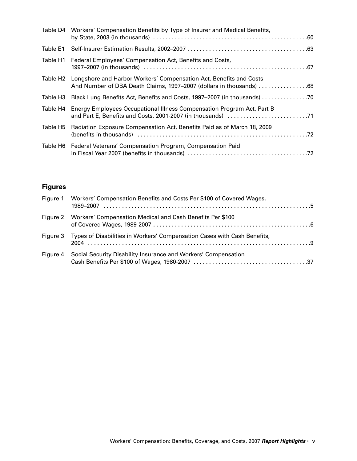|          | Table D4 Workers' Compensation Benefits by Type of Insurer and Medical Benefits, |
|----------|----------------------------------------------------------------------------------|
| Table E1 |                                                                                  |
| Table H1 | Federal Employees' Compensation Act, Benefits and Costs,                         |
|          | Table H2 Longshore and Harbor Workers' Compensation Act, Benefits and Costs      |
| Table H3 |                                                                                  |
|          | Table H4 Energy Employees Occupational Illness Compensation Program Act, Part B  |
| Table H5 | Radiation Exposure Compensation Act, Benefits Paid as of March 18, 2009          |
|          | Table H6 Federal Veterans' Compensation Program, Compensation Paid               |

## **Figures**

| Figure 1 Workers' Compensation Benefits and Costs Per \$100 of Covered Wages,     |
|-----------------------------------------------------------------------------------|
| Figure 2 Workers' Compensation Medical and Cash Benefits Per \$100                |
| Figure 3 Types of Disabilities in Workers' Compensation Cases with Cash Benefits, |
| Figure 4 Social Security Disability Insurance and Workers' Compensation           |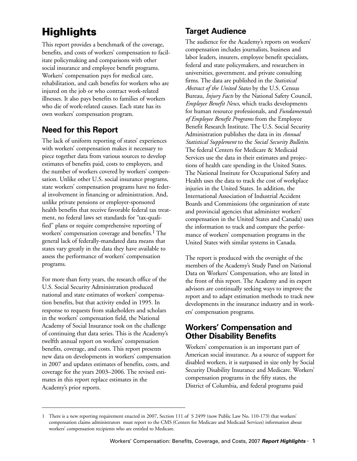# **Highlights**

This report provides a benchmark of the coverage, benefits, and costs of workers' compensation to facilitate policymaking and comparisons with other social insurance and employee benefit programs. Workers' compensation pays for medical care, rehabilitation, and cash benefits for workers who are injured on the job or who contract work-related illnesses. It also pays benefits to families of workers who die of work-related causes. Each state has its own workers' compensation program.

# **Need for this Report**

The lack of uniform reporting of states' experiences with workers' compensation makes it necessary to piece together data from various sources to develop estimates of benefits paid, costs to employers, and the number of workers covered by workers' compensation. Unlike other U.S. social insurance programs, state workers' compensation programs have no federal involvement in financing or administration. And, unlike private pensions or employer-sponsored health benefits that receive favorable federal tax treatment, no federal laws set standards for "tax-qualified" plans or require comprehensive reporting of workers' compensation coverage and benefits.<sup>1</sup> The general lack of federally-mandated data means that states vary greatly in the data they have available to assess the performance of workers' compensation programs.

For more than forty years, the research office of the U.S. Social Security Administration produced national and state estimates of workers' compensation benefits, but that activity ended in 1995. In response to requests from stakeholders and scholars in the workers' compensation field, the National Academy of Social Insurance took on the challenge of continuing that data series. This is the Academy's twelfth annual report on workers' compensation benefits, coverage, and costs. This report presents new data on developments in workers' compensation in 2007 and updates estimates of benefits, costs, and coverage for the years 2003–2006. The revised estimates in this report replace estimates in the Academy's prior reports.

# **Target Audience**

The audience for the Academy's reports on workers' compensation includes journalists, business and labor leaders, insurers, employee benefit specialists, federal and state policymakers, and researchers in universities, government, and private consulting firms. The data are published in the *Statistical Abstract of the United States* by the U.S. Census Bureau, *Injury Facts* by the National Safety Council, *Employee Benefit News*, which tracks developments for human resource professionals, and *Fundamentals of Employee Benefit Programs* from the Employee Benefit Research Institute. The U.S. Social Security Administration publishes the data in its *Annual Statistical Supplement* to the *Social Security Bulletin*. The federal Centers for Medicare & Medicaid Services use the data in their estimates and projections of health care spending in the United States. The National Institute for Occupational Safety and Health uses the data to track the cost of workplace injuries in the United States. In addition, the International Association of Industrial Accident Boards and Commissions (the organization of state and provincial agencies that administer workers' compensation in the United States and Canada) uses the information to track and compare the performance of workers' compensation programs in the United States with similar systems in Canada.

The report is produced with the oversight of the members of the Academy's Study Panel on National Data on Workers' Compensation, who are listed in the front of this report. The Academy and its expert advisors are continually seeking ways to improve the report and to adapt estimation methods to track new developments in the insurance industry and in workers' compensation programs.

## **Workers' Compensation and Other Disability Benefits**

Workers' compensation is an important part of American social insurance. As a source of support for disabled workers, it is surpassed in size only by Social Security Disability Insurance and Medicare. Workers' compensation programs in the fifty states, the District of Columbia, and federal programs paid

<sup>1</sup> There is a new reporting requirement enacted in 2007, Section 111 of S 2499 (now Public Law No. 110-173) that workers' compensation claims administrators must report to the CMS (Centers for Medicare and Medicaid Services) information about workers' compensation recipients who are entitled to Medicare.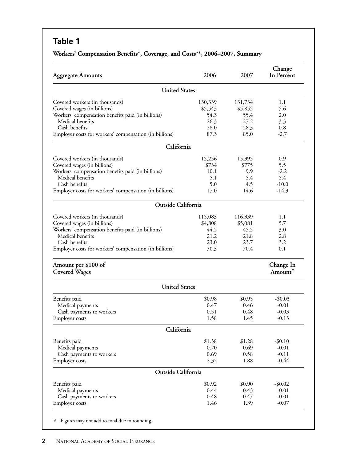# **Table 1**

#### **Workers' Compensation Benefits\*, Coverage, and Costs\*\*, 2006–2007, Summary**

| <b>Aggregate Amounts</b>                               | 2006    | 2007    | Change<br>In Percent |
|--------------------------------------------------------|---------|---------|----------------------|
| <b>United States</b>                                   |         |         |                      |
| Covered workers (in thousands)                         | 130,339 | 131,734 | 1.1                  |
| Covered wages (in billions)                            | \$5,543 | \$5,855 | 5.6                  |
| Workers' compensation benefits paid (in billions)      | 54.3    | 55.4    | 2.0                  |
| Medical benefits                                       | 26.3    | 27.2    | 3.3                  |
| Cash benefits                                          | 28.0    | 28.3    | 0.8                  |
| Employer costs for workers' compensation (in billions) | 87.3    | 85.0    | $-2.7$               |
| California                                             |         |         |                      |
| Covered workers (in thousands)                         | 15,256  | 15,395  | 0.9                  |
| Covered wages (in billions)                            | \$734   | \$775   | 5.5                  |
| Workers' compensation benefits paid (in billions)      | 10.1    | 9.9     | $-2.2$               |
| Medical benefits                                       | 5.1     | 5.4     | 5.4                  |
| Cash benefits                                          | 5.0     | 4.5     | $-10.0$              |
| Employer costs for workers' compensation (in billions) | 17.0    | 14.6    | $-14.3$              |
| Outside California                                     |         |         |                      |
| Covered workers (in thousands)                         | 115,083 | 116,339 | 1.1                  |
| Covered wages (in billions)                            | \$4,808 | \$5,081 | 5.7                  |
| Workers' compensation benefits paid (in billions)      | 44.2    | 45.5    | 3.0                  |
| Medical benefits                                       | 21.2    | 21.8    | 2.8                  |
| Cash benefits                                          | 23.0    | 23.7    | 3.2                  |
| Employer costs for workers' compensation (in billions) | 70.3    | 70.4    | 0.1                  |
| Amount per \$100 of<br><b>Covered Wages</b>            |         |         | Change In<br>Amount# |
| <b>United States</b>                                   |         |         |                      |
| Benefits paid                                          | \$0.98  | \$0.95  | $-$ \$0.03           |
| Medical payments                                       | 0.47    | 0.46    | $-0.01$              |
| Cash payments to workers                               | 0.51    | 0.48    | $-0.03$              |
| Employer costs                                         | 1.58    | 1.45    | $-0.13$              |
| California                                             |         |         |                      |
| Benefits paid                                          | \$1.38  | \$1.28  | $-$ \$0.10           |
| Medical payments                                       | 0.70    | 0.69    | $-0.01$              |
| Cash payments to workers                               | 0.69    | 0.58    | $-0.11$              |
| Employer costs                                         | 2.32    | 1.88    | $-0.44$              |
| Outside California                                     |         |         |                      |
| Benefits paid                                          | \$0.92  | \$0.90  | $-$ \$0.02           |
| Medical payments                                       | 0.44    | 0.43    | $-0.01$              |
| Cash payments to workers                               | 0.48    | 0.47    | $-0.01$              |
| Employer costs                                         | 1.46    | 1.39    | $-0.07$              |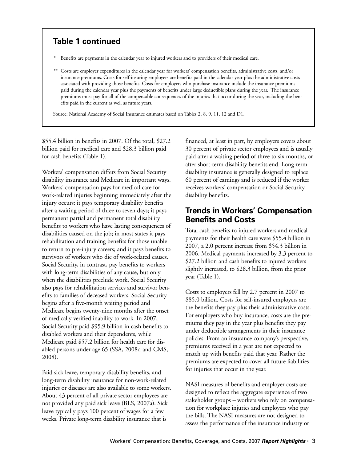## **Table 1 continued**

Benefits are payments in the calendar year to injured workers and to providers of their medical care.

Costs are employer expenditures in the calendar year for workers' compensation benefits, administrative costs, and/or insurance premiums. Costs for self-insuring employers are benefits paid in the calendar year plus the administrative costs associated with providing those benefits. Costs for employers who purchase insurance include the insurance premiums paid during the calendar year plus the payments of benefits under large deductible plans during the year. The insurance premiums must pay for all of the compensable consequences of the injuries that occur during the year, including the benefits paid in the current as well as future years.

Source: National Academy of Social Insurance estimates based on Tables 2, 8, 9, 11, 12 and D1.

\$55.4 billion in benefits in 2007. Of the total, \$27.2 billion paid for medical care and \$28.3 billion paid for cash benefits (Table 1).

Workers' compensation differs from Social Security disability insurance and Medicare in important ways. Workers' compensation pays for medical care for work-related injuries beginning immediately after the injury occurs; it pays temporary disability benefits after a waiting period of three to seven days; it pays permanent partial and permanent total disability benefits to workers who have lasting consequences of disabilities caused on the job; in most states it pays rehabilitation and training benefits for those unable to return to pre-injury careers; and it pays benefits to survivors of workers who die of work-related causes. Social Security, in contrast, pay benefits to workers with long-term disabilities of any cause, but only when the disabilities preclude work. Social Security also pays for rehabilitation services and survivor benefits to families of deceased workers. Social Security begins after a five-month waiting period and Medicare begins twenty-nine months after the onset of medically verified inability to work. In 2007, Social Security paid \$95.9 billion in cash benefits to disabled workers and their dependents, while Medicare paid \$57.2 billion for health care for disabled persons under age 65 (SSA, 2008d and CMS, 2008).

Paid sick leave, temporary disability benefits, and long-term disability insurance for non-work-related injuries or diseases are also available to some workers. About 43 percent of all private sector employees are not provided any paid sick leave (BLS, 2007a). Sick leave typically pays 100 percent of wages for a few weeks. Private long-term disability insurance that is

financed, at least in part, by employers covers about 30 percent of private sector employees and is usually paid after a waiting period of three to six months, or after short-term disability benefits end. Long-term disability insurance is generally designed to replace 60 percent of earnings and is reduced if the worker receives workers' compensation or Social Security disability benefits.

## **Trends in Workers' Compensation Benefits and Costs**

Total cash benefits to injured workers and medical payments for their health care were \$55.4 billion in 2007, a 2.0 percent increase from \$54.3 billion in 2006. Medical payments increased by 3.3 percent to \$27.2 billion and cash benefits to injured workers slightly increased, to \$28.3 billion, from the prior year (Table 1).

Costs to employers fell by 2.7 percent in 2007 to \$85.0 billion. Costs for self-insured employers are the benefits they pay plus their administrative costs. For employers who buy insurance, costs are the premiums they pay in the year plus benefits they pay under deductible arrangements in their insurance policies. From an insurance company's perspective, premiums received in a year are not expected to match up with benefits paid that year. Rather the premiums are expected to cover all future liabilities for injuries that occur in the year.

NASI measures of benefits and employer costs are designed to reflect the aggregate experience of two stakeholder groups – workers who rely on compensation for workplace injuries and employers who pay the bills. The NASI measures are not designed to assess the performance of the insurance industry or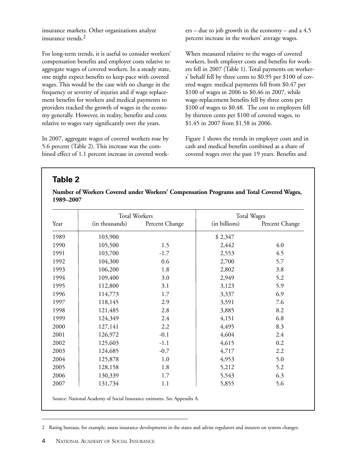insurance markets. Other organizations analyze insurance trends.2

For long-term trends, it is useful to consider workers' compensation benefits and employer costs relative to aggregate wages of covered workers. In a steady state, one might expect benefits to keep pace with covered wages. This would be the case with no change in the frequency or severity of injuries and if wage replacement benefits for workers and medical payments to providers tracked the growth of wages in the economy generally. However, in reality, benefits and costs relative to wages vary significantly over the years.

In 2007, aggregate wages of covered workers rose by 5.6 percent (Table 2). This increase was the combined effect of 1.1 percent increase in covered workers – due to job growth in the economy – and a 4.5 percent increase in the workers' average wages.

When measured relative to the wages of covered workers, both employer costs and benefits for workers fell in 2007 (Table 1). Total payments on workers' behalf fell by three cents to \$0.95 per \$100 of covered wages: medical payments fell from \$0.47 per \$100 of wages in 2006 to \$0.46 in 2007, while wage-replacement benefits fell by three cents per \$100 of wages to \$0.48. The cost to employers fell by thirteen cents per \$100 of covered wages, to \$1.45 in 2007 from \$1.58 in 2006.

Figure 1 shows the trends in employer costs and in cash and medical benefits combined as a share of covered wages over the past 19 years. Benefits and

# **Table 2**

| Number of Workers Covered under Workers' Compensation Programs and Total Covered Wages, |  |  |  |
|-----------------------------------------------------------------------------------------|--|--|--|
| 1989-2007                                                                               |  |  |  |

|      | <b>Total Workers</b> |                | <b>Total Wages</b> |                |  |
|------|----------------------|----------------|--------------------|----------------|--|
| Year | (in thousands)       | Percent Change | (in billions)      | Percent Change |  |
| 1989 | 103,900              |                | \$2,347            |                |  |
| 1990 | 105,500              | 1.5            | 2,442              | 4.0            |  |
| 1991 | 103,700              | $-1.7$         | 2,553              | 4.5            |  |
| 1992 | 104,300              | 0.6            | 2,700              | 5.7            |  |
| 1993 | 106,200              | 1.8            | 2,802              | 3.8            |  |
| 1994 | 109,400              | 3.0            | 2,949              | 5.2            |  |
| 1995 | 112,800              | 3.1            | 3,123              | 5.9            |  |
| 1996 | 114,773              | 1.7            | 3,337              | 6.9            |  |
| 1997 | 118,145              | 2.9            | 3,591              | 7.6            |  |
| 1998 | 121,485              | 2.8            | 3,885              | 8.2            |  |
| 1999 | 124,349              | 2.4            | 4,151              | 6.8            |  |
| 2000 | 127,141              | 2.2            | 4,495              | 8.3            |  |
| 2001 | 126,972              | $-0.1$         | 4,604              | 2.4            |  |
| 2002 | 125,603              | $-1.1$         | 4,615              | 0.2            |  |
| 2003 | 124,685              | $-0.7$         | 4,717              | 2.2            |  |
| 2004 | 125,878              | 1.0            | 4,953              | 5.0            |  |
| 2005 | 128,158              | 1.8            | 5,212              | 5.2            |  |
| 2006 | 130,339              | 1.7            | 5,543              | 6.3            |  |
| 2007 | 131,734              | 1.1            | 5,855              | 5.6            |  |

Source: National Academy of Social Insurance estimates. See Appendix A.

<sup>2</sup> Rating bureaus, for example, assess insurance developments in the states and advise regulators and insurers on system changes.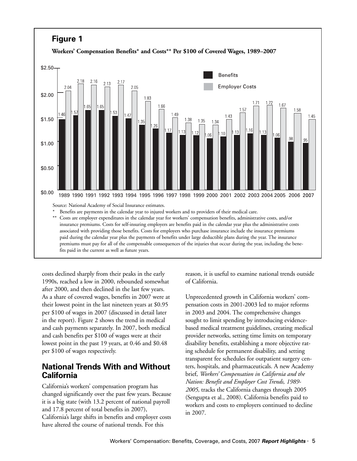

costs declined sharply from their peaks in the early 1990s, reached a low in 2000, rebounded somewhat after 2000, and then declined in the last few years. As a share of covered wages, benefits in 2007 were at their lowest point in the last nineteen years at \$0.95 per \$100 of wages in 2007 (discussed in detail later in the report). Figure 2 shows the trend in medical and cash payments separately. In 2007, both medical and cash benefits per \$100 of wages were at their lowest point in the past 19 years, at 0.46 and \$0.48 per \$100 of wages respectively.

## **National Trends With and Without California**

California's workers' compensation program has changed significantly over the past few years. Because it is a big state (with 13.2 percent of national payroll and 17.8 percent of total benefits in 2007), California's large shifts in benefits and employer costs have altered the course of national trends. For this

reason, it is useful to examine national trends outside of California.

Unprecedented growth in California workers' compensation costs in 2001-2003 led to major reforms in 2003 and 2004. The comprehensive changes sought to limit spending by introducing evidencebased medical treatment guidelines, creating medical provider networks, setting time limits on temporary disability benefits, establishing a more objective rating schedule for permanent disability, and setting transparent fee schedules for outpatient surgery centers, hospitals, and pharmaceuticals. A new Academy brief, *Workers' Compensation in California and the Nation: Benefit and Employer Cost Trends, 1989- 2005,* tracks the California changes through 2005 (Sengupta et al., 2008). California benefits paid to workers and costs to employers continued to decline in 2007.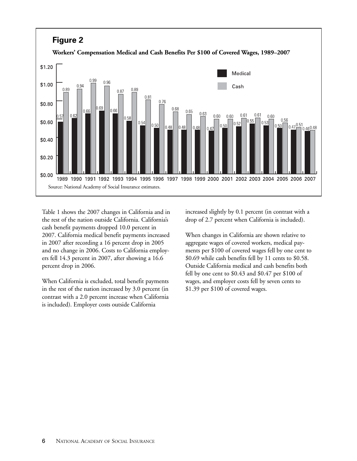

Table 1 shows the 2007 changes in California and in the rest of the nation outside California. California's cash benefit payments dropped 10.0 percent in 2007. California medical benefit payments increased in 2007 after recording a 16 percent drop in 2005 and no change in 2006. Costs to California employers fell 14.3 percent in 2007, after showing a 16.6 percent drop in 2006.

When California is excluded, total benefit payments in the rest of the nation increased by 3.0 percent (in contrast with a 2.0 percent increase when California is included). Employer costs outside California

increased slightly by 0.1 percent (in contrast with a drop of 2.7 percent when California is included).

When changes in California are shown relative to aggregate wages of covered workers, medical payments per \$100 of covered wages fell by one cent to \$0.69 while cash benefits fell by 11 cents to \$0.58. Outside California medical and cash benefits both fell by one cent to \$0.43 and \$0.47 per \$100 of wages, and employer costs fell by seven cents to \$1.39 per \$100 of covered wages.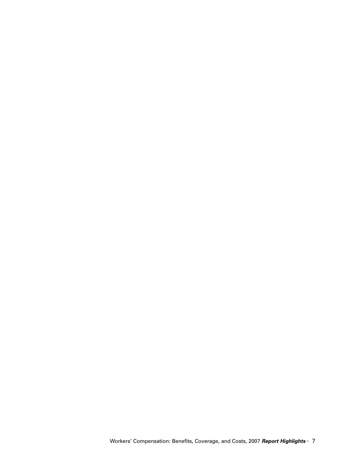Workers' Compensation: Benefits, Coverage, and Costs, 2007 **Report Highlights** • 7